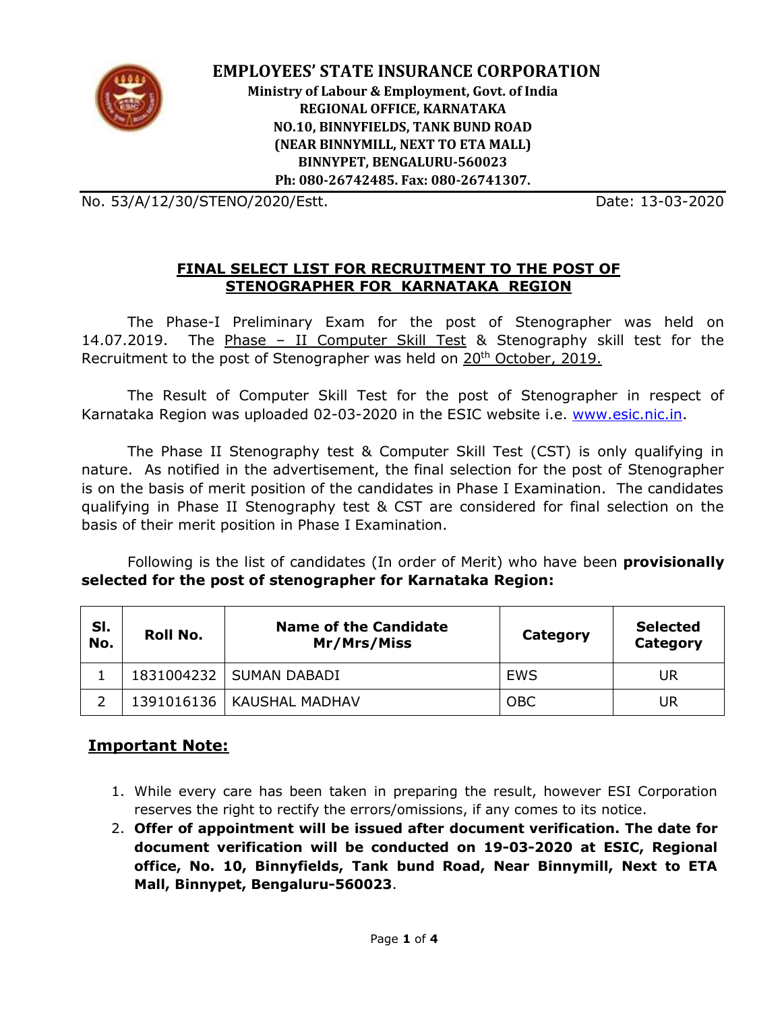

 **EMPLOYEES' STATE INSURANCE CORPORATION Ministry of Labour & Employment, Govt. of India REGIONAL OFFICE, KARNATAKA NO.10, BINNYFIELDS, TANK BUND ROAD (NEAR BINNYMILL, NEXT TO ETA MALL) BINNYPET, BENGALURU-560023 Ph: 080-26742485. Fax: 080-26741307.**

No. 53/A/12/30/STENO/2020/Estt. Date: 13-03-2020

#### **FINAL SELECT LIST FOR RECRUITMENT TO THE POST OF STENOGRAPHER FOR KARNATAKA REGION**

The Phase-I Preliminary Exam for the post of Stenographer was held on 14.07.2019. The Phase – II Computer Skill Test & Stenography skill test for the Recruitment to the post of Stenographer was held on 20<sup>th</sup> October, 2019.

The Result of Computer Skill Test for the post of Stenographer in respect of Karnataka Region was uploaded 02-03-2020 in the ESIC website i.e. [www.esic.nic.in.](http://www.esic.nic.in/)

The Phase II Stenography test & Computer Skill Test (CST) is only qualifying in nature. As notified in the advertisement, the final selection for the post of Stenographer is on the basis of merit position of the candidates in Phase I Examination. The candidates qualifying in Phase II Stenography test & CST are considered for final selection on the basis of their merit position in Phase I Examination.

Following is the list of candidates (In order of Merit) who have been **provisionally selected for the post of stenographer for Karnataka Region:**

| SI.<br>No. | <b>Roll No.</b> | <b>Name of the Candidate</b><br>Mr/Mrs/Miss | Category   | <b>Selected</b><br>Category |
|------------|-----------------|---------------------------------------------|------------|-----------------------------|
|            |                 | 1831004232   SUMAN DABADI                   | <b>EWS</b> | UR                          |
|            |                 | 1391016136   KAUSHAL MADHAV                 | <b>OBC</b> | UR                          |

## **Important Note:**

- 1. While every care has been taken in preparing the result, however ESI Corporation reserves the right to rectify the errors/omissions, if any comes to its notice.
- 2. **Offer of appointment will be issued after document verification. The date for document verification will be conducted on 19-03-2020 at ESIC, Regional office, No. 10, Binnyfields, Tank bund Road, Near Binnymill, Next to ETA Mall, Binnypet, Bengaluru-560023**.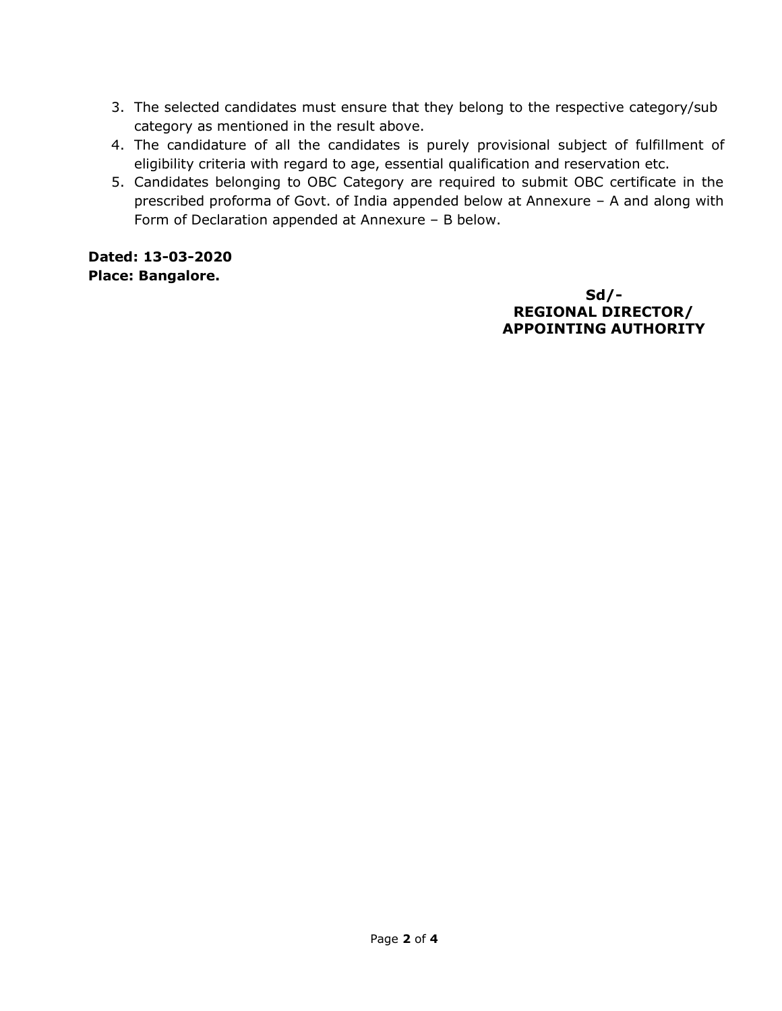- 3. The selected candidates must ensure that they belong to the respective category/sub category as mentioned in the result above.
- 4. The candidature of all the candidates is purely provisional subject of fulfillment of eligibility criteria with regard to age, essential qualification and reservation etc.
- 5. Candidates belonging to OBC Category are required to submit OBC certificate in the prescribed proforma of Govt. of India appended below at Annexure – A and along with Form of Declaration appended at Annexure – B below.

**Dated: 13-03-2020 Place: Bangalore.** 

> **Sd/- REGIONAL DIRECTOR/ APPOINTING AUTHORITY**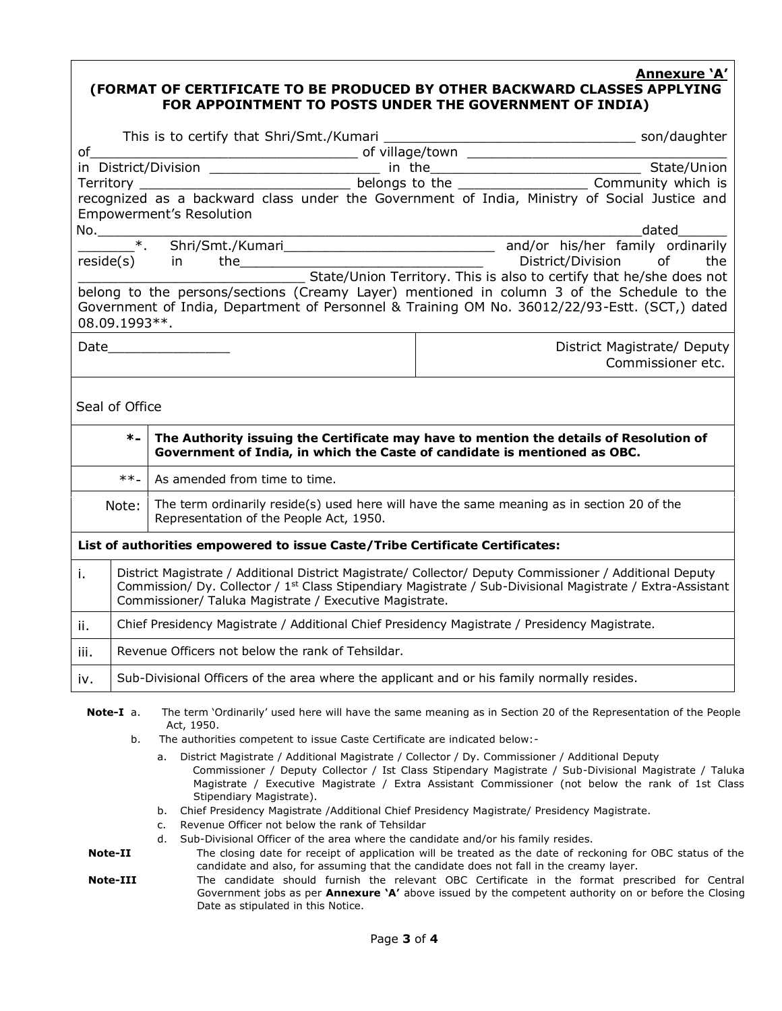### **Annexure 'A'**

#### **(FORMAT OF CERTIFICATE TO BE PRODUCED BY OTHER BACKWARD CLASSES APPLYING FOR APPOINTMENT TO POSTS UNDER THE GOVERNMENT OF INDIA)**

| Empowerment's Resolution                                                                      |                                                                                                                                                                                                                                                                                               |  |                                                                                            |  |  |  |  |  |  |
|-----------------------------------------------------------------------------------------------|-----------------------------------------------------------------------------------------------------------------------------------------------------------------------------------------------------------------------------------------------------------------------------------------------|--|--------------------------------------------------------------------------------------------|--|--|--|--|--|--|
| dated<br>No.                                                                                  |                                                                                                                                                                                                                                                                                               |  |                                                                                            |  |  |  |  |  |  |
|                                                                                               |                                                                                                                                                                                                                                                                                               |  |                                                                                            |  |  |  |  |  |  |
|                                                                                               |                                                                                                                                                                                                                                                                                               |  |                                                                                            |  |  |  |  |  |  |
| Teside(s) in the State/Union Territory. This is also to certify that he/she does not          |                                                                                                                                                                                                                                                                                               |  |                                                                                            |  |  |  |  |  |  |
| belong to the persons/sections (Creamy Layer) mentioned in column 3 of the Schedule to the    |                                                                                                                                                                                                                                                                                               |  |                                                                                            |  |  |  |  |  |  |
| Government of India, Department of Personnel & Training OM No. 36012/22/93-Estt. (SCT,) dated |                                                                                                                                                                                                                                                                                               |  |                                                                                            |  |  |  |  |  |  |
| 08.09.1993 **.                                                                                |                                                                                                                                                                                                                                                                                               |  |                                                                                            |  |  |  |  |  |  |
| Date                                                                                          |                                                                                                                                                                                                                                                                                               |  | District Magistrate/ Deputy                                                                |  |  |  |  |  |  |
|                                                                                               |                                                                                                                                                                                                                                                                                               |  | Commissioner etc.                                                                          |  |  |  |  |  |  |
|                                                                                               |                                                                                                                                                                                                                                                                                               |  |                                                                                            |  |  |  |  |  |  |
|                                                                                               |                                                                                                                                                                                                                                                                                               |  |                                                                                            |  |  |  |  |  |  |
| Seal of Office                                                                                |                                                                                                                                                                                                                                                                                               |  |                                                                                            |  |  |  |  |  |  |
|                                                                                               | The Authority issuing the Certificate may have to mention the details of Resolution of<br>$\ast$<br>Government of India, in which the Caste of candidate is mentioned as OBC.                                                                                                                 |  |                                                                                            |  |  |  |  |  |  |
|                                                                                               | $***-$<br>As amended from time to time.                                                                                                                                                                                                                                                       |  |                                                                                            |  |  |  |  |  |  |
| Note:<br>Representation of the People Act, 1950.                                              |                                                                                                                                                                                                                                                                                               |  | The term ordinarily reside(s) used here will have the same meaning as in section 20 of the |  |  |  |  |  |  |
| List of authorities empowered to issue Caste/Tribe Certificate Certificates:                  |                                                                                                                                                                                                                                                                                               |  |                                                                                            |  |  |  |  |  |  |
| i.                                                                                            | District Magistrate / Additional District Magistrate/ Collector/ Deputy Commissioner / Additional Deputy<br>Commission/ Dy. Collector / 1 <sup>st</sup> Class Stipendiary Magistrate / Sub-Divisional Magistrate / Extra-Assistant<br>Commissioner/ Taluka Magistrate / Executive Magistrate. |  |                                                                                            |  |  |  |  |  |  |
| ii.                                                                                           | Chief Presidency Magistrate / Additional Chief Presidency Magistrate / Presidency Magistrate.                                                                                                                                                                                                 |  |                                                                                            |  |  |  |  |  |  |
| iii.                                                                                          | Revenue Officers not below the rank of Tehsildar.                                                                                                                                                                                                                                             |  |                                                                                            |  |  |  |  |  |  |
| iv.                                                                                           | Sub-Divisional Officers of the area where the applicant and or his family normally resides.                                                                                                                                                                                                   |  |                                                                                            |  |  |  |  |  |  |
|                                                                                               |                                                                                                                                                                                                                                                                                               |  |                                                                                            |  |  |  |  |  |  |

- **Note-I** a. The term 'Ordinarily' used here will have the same meaning as in Section 20 of the Representation of the People Act, 1950.
	- b. The authorities competent to issue Caste Certificate are indicated below:
		- a. District Magistrate / Additional Magistrate / Collector / Dy. Commissioner / Additional Deputy Commissioner / Deputy Collector / Ist Class Stipendary Magistrate / Sub-Divisional Magistrate / Taluka Magistrate / Executive Magistrate / Extra Assistant Commissioner (not below the rank of 1st Class Stipendiary Magistrate).
		- b. Chief Presidency Magistrate /Additional Chief Presidency Magistrate/ Presidency Magistrate.
		- c. Revenue Officer not below the rank of Tehsildar
		- d. Sub-Divisional Officer of the area where the candidate and/or his family resides.
- **Note-II** The closing date for receipt of application will be treated as the date of reckoning for OBC status of the candidate and also, for assuming that the candidate does not fall in the creamy layer.
- **Note-III** The candidate should furnish the relevant OBC Certificate in the format prescribed for Central Government jobs as per **Annexure 'A'** above issued by the competent authority on or before the Closing Date as stipulated in this Notice.